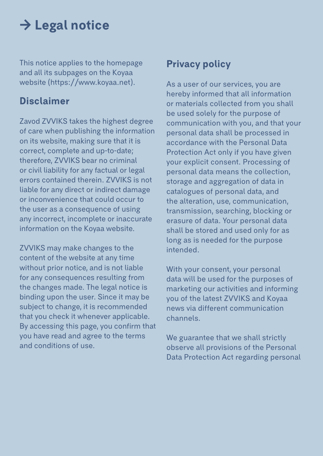## **→ Legal notice**

This notice applies to the homepage and all its subpages on the Koyaa website (https://www.koyaa.net).

#### **Disclaimer**

Zavod ZVVIKS takes the highest degree of care when publishing the information on its website, making sure that it is correct, complete and up-to-date; therefore, ZVVIKS bear no criminal or civil liability for any factual or legal errors contained therein. ZVVIKS is not liable for any direct or indirect damage or inconvenience that could occur to the user as a consequence of using any incorrect, incomplete or inaccurate information on the Koyaa website.

ZVVIKS may make changes to the content of the website at any time without prior notice, and is not liable for any consequences resulting from the changes made. The legal notice is binding upon the user. Since it may be subject to change, it is recommended that you check it whenever applicable. By accessing this page, you confirm that you have read and agree to the terms and conditions of use.

#### **Privacy policy**

As a user of our services, you are hereby informed that all information or materials collected from you shall be used solely for the purpose of communication with you, and that your personal data shall be processed in accordance with the Personal Data Protection Act only if you have given your explicit consent. Processing of personal data means the collection, storage and aggregation of data in catalogues of personal data, and the alteration, use, communication, transmission, searching, blocking or erasure of data. Your personal data shall be stored and used only for as long as is needed for the purpose intended.

With your consent, your personal data will be used for the purposes of marketing our activities and informing you of the latest ZVVIKS and Koyaa news via different communication channels.

We guarantee that we shall strictly observe all provisions of the Personal Data Protection Act regarding personal